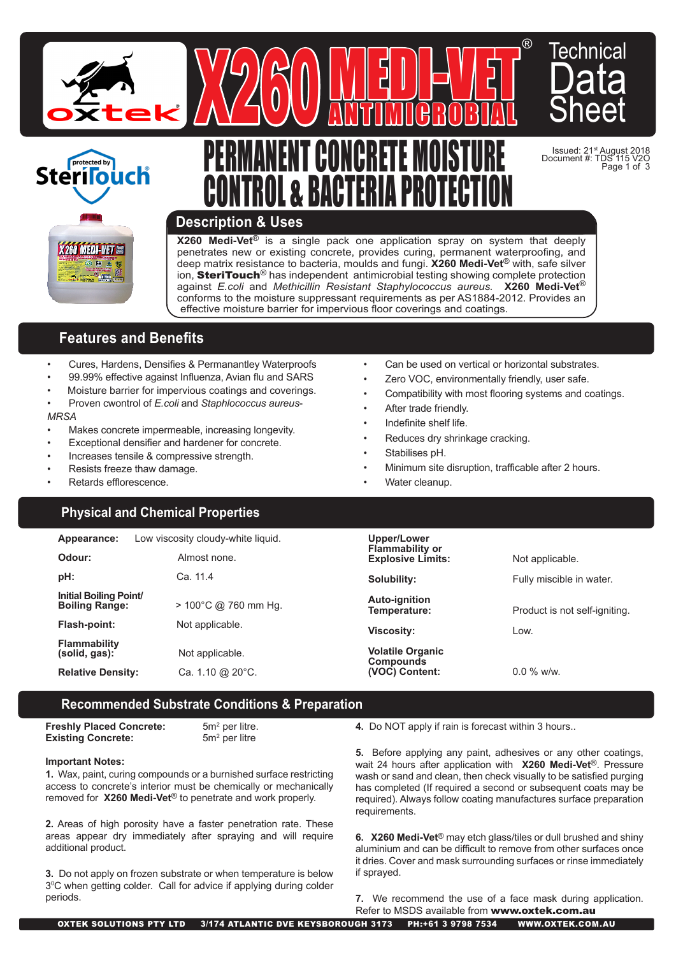



# <u>PERMANENT GUNGRETE MUISTURE</u> <u>GUNTRUL & BAGTERIA PRUTEGITUN</u>

AV40U ANTIMICROBIAL



Issued: 21st August 2018 Document #: TDS 115 V2O Page 1 of 3

## **Description & Uses**

**X260 Medi-Vet**® is a single pack one application spray on system that deeply penetrates new or existing concrete, provides curing, permanent waterproofing, and deep matrix resistance to bacteria, moulds and fungi. **X260 Medi-Vet**® with, safe silver ion, **SteriTouch**<sup>®</sup> has independent antimicrobial testing showing complete protection against *E.coli* and *Methicillin Resistant Staphylococcus aureus.* **X260 Medi-Vet**® conforms to the moisture suppressant requirements as per AS1884-2012. Provides an effective moisture barrier for impervious floor coverings and coatings.

# **Features and Benefits**

- Cures, Hardens, Densifies & Permanantley Waterproofs
- 99.99% effective against Influenza, Avian flu and SARS
- Moisture barrier for impervious coatings and coverings. • Proven cwontrol of *E.coli* and *Staphlococcus aureus*-

#### *MRSA*

- Makes concrete impermeable, increasing longevity.
- Exceptional densifier and hardener for concrete.
- Increases tensile & compressive strength.
- Resists freeze thaw damage.
- Retards efflorescence.

# **Physical and Chemical Properties**

- Can be used on vertical or horizontal substrates.
- Zero VOC, environmentally friendly, user safe.
- Compatibility with most flooring systems and coatings.
- After trade friendly.

MEDI-VET

- Indefinite shelf life.
- Reduces dry shrinkage cracking.
- Stabilises pH.
- Minimum site disruption, trafficable after 2 hours.
- Water cleanup.

| Appearance:                                     | Low viscosity cloudy-white liquid.   | Upper/Lower                                        |                               |
|-------------------------------------------------|--------------------------------------|----------------------------------------------------|-------------------------------|
| Odour:                                          | Almost none.                         | <b>Flammability or</b><br><b>Explosive Limits:</b> | Not applicable.               |
| pH:                                             | Ca. 11.4                             | Solubility:                                        | Fully miscible in water.      |
| Initial Boiling Point/<br><b>Boiling Range:</b> | $>$ 100°C @ 760 mm Hg.               | <b>Auto-ignition</b><br>Temperature:               | Product is not self-igniting. |
| Flash-point:                                    | Not applicable.<br><b>Viscosity:</b> |                                                    | Low.                          |
| <b>Flammability</b><br>(solid, gas):            | Not applicable.                      | <b>Volatile Organic</b><br>Compounds               |                               |
| <b>Relative Density:</b>                        | Ca. 1.10 @ $20^{\circ}$ C.           | (VOC) Content:                                     | $0.0\%$ w/w.                  |

## **Recommended Substrate Conditions & Preparation**

**Freshly Placed Concrete: Existing Concrete:** 

 $5m<sup>2</sup>$  per litre.  $5m<sup>2</sup>$  per litre

#### **Important Notes:**

**1.** Wax, paint, curing compounds or a burnished surface restricting access to concrete's interior must be chemically or mechanically removed for **X260 Medi-Vet**® to penetrate and work properly.

**2.** Areas of high porosity have a faster penetration rate. These areas appear dry immediately after spraying and will require additional product.

**3.** Do not apply on frozen substrate or when temperature is below 30 C when getting colder. Call for advice if applying during colder periods.

**4.** Do NOT apply if rain is forecast within 3 hours..

**5.** Before applying any paint, adhesives or any other coatings, wait 24 hours after application with **X260 Medi-Vet**®. Pressure wash or sand and clean, then check visually to be satisfied purging has completed (If required a second or subsequent coats may be required). Always follow coating manufactures surface preparation requirements.

**6. X260 Medi-Vet**® may etch glass/tiles or dull brushed and shiny aluminium and can be difficult to remove from other surfaces once it dries. Cover and mask surrounding surfaces or rinse immediately if sprayed.

**7.** We recommend the use of a face mask during application. Refer to MSDS available from www.oxtek.com.au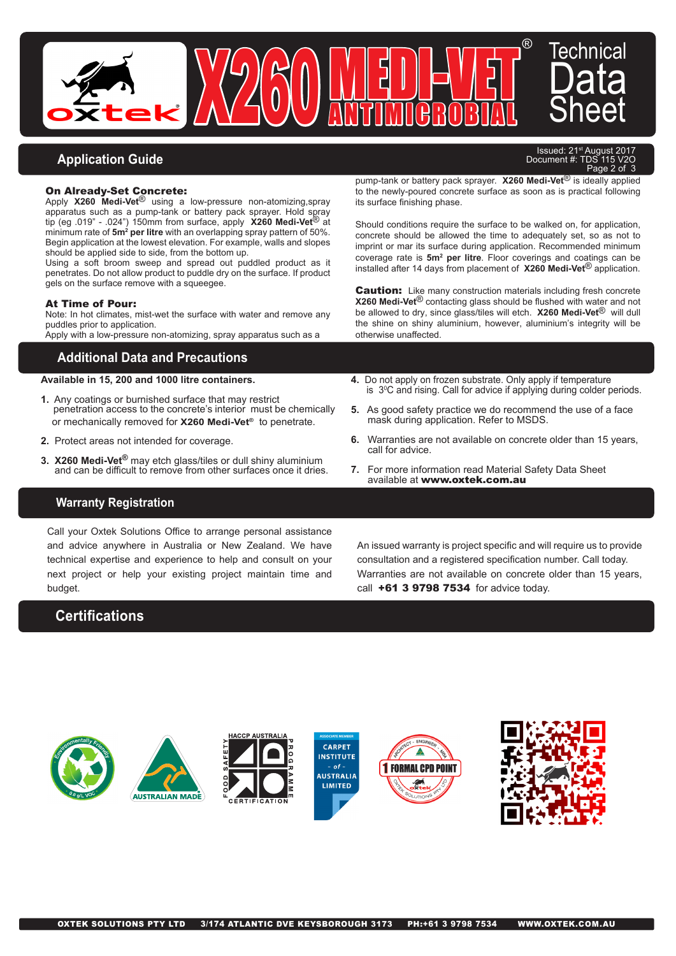

# **Application Guide**

#### On Already-Set Concrete:

Apply **X260 Medi-Vet**® using a low-pressure non-atomizing,spray apparatus such as a pump-tank or battery pack sprayer. Hold spray tip (eg .019" - .024") 150mm from surface, apply **X260 Medi-Vet**® at minimum rate of **5m2 per litre** with an overlapping spray pattern of 50%. Begin application at the lowest elevation. For example, walls and slopes should be applied side to side, from the bottom up.

Using a soft broom sweep and spread out puddled product as it penetrates. Do not allow product to puddle dry on the surface. If product gels on the surface remove with a squeegee.

#### At Time of Pour:

Note: In hot climates, mist-wet the surface with water and remove any puddles prior to application.

Apply with a low-pressure non-atomizing, spray apparatus such as a

## **Additional Data and Precautions**

### **Available in 15, 200 and 1000 litre containers.**

- **1.** Any coatings or burnished surface that may restrict penetration access to the concrete's interior must be chemically or mechanically removed for **X260 Medi-Vet®** to penetrate.
- **2.** Protect areas not intended for coverage.
- **3. X260 Medi-Vet®** may etch glass/tiles or dull shiny aluminium and can be difficult to remove from other surfaces once it dries.

Issued: 21<sup>st</sup> August 2017<br>
pcument #: TDS 115 V2O Document  $#$ : TDS 115 Page 2 of

pump-tank or battery pack sprayer. **X260 Medi-Vet**® is ideally applied to the newly-poured concrete surface as soon as is practical following its surface finishing phase.

Should conditions require the surface to be walked on, for application, concrete should be allowed the time to adequately set, so as not to imprint or mar its surface during application. Recommended minimum coverage rate is **5m2 per litre**. Floor coverings and coatings can be installed after 14 days from placement of **X260 Medi-Vet**® application.

**Caution:** Like many construction materials including fresh concrete **X260 Medi-Vet**® contacting glass should be flushed with water and not be allowed to dry, since glass/tiles will etch. **X260 Medi-Vet**® will dull the shine on shiny aluminium, however, aluminium's integrity will be otherwise unaffected.

- **4.** Do not apply on frozen substrate. Only apply if temperature is  $3^{\rm o}$ C and rising. Call for advice if applying during colder periods.
- **5.** As good safety practice we do recommend the use of a face mask during application. Refer to MSDS.
- **6.** Warranties are not available on concrete older than 15 years, call for advice.
- **7.** For more information read Material Safety Data Sheet available at www.oxtek.com.au

## **Warranty Registration**

Call your Oxtek Solutions Office to arrange personal assistance and advice anywhere in Australia or New Zealand. We have technical expertise and experience to help and consult on your next project or help your existing project maintain time and budget.

# **Certifications**

An issued warranty is project specific and will require us to provide consultation and a registered specification number. Call today. Warranties are not available on concrete older than 15 years, call **+61 3 9798 7534** for advice today.